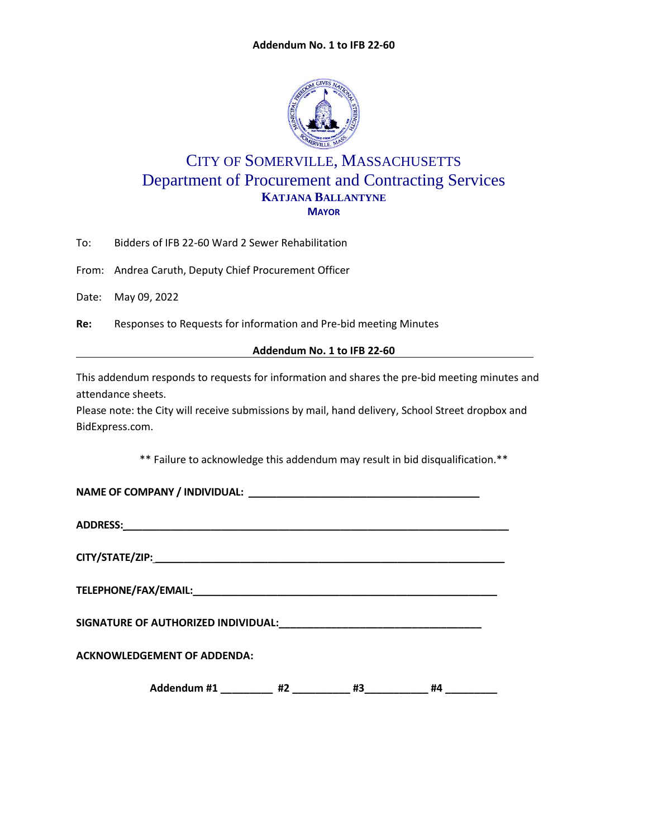

# CITY OF SOMERVILLE, MASSACHUSETTS Department of Procurement and Contracting Services **KATJANA BALLANTYNE MAYOR**

To: Bidders of IFB 22-60 Ward 2 Sewer Rehabilitation

From: Andrea Caruth, Deputy Chief Procurement Officer

Date: May 09, 2022

**Re:** Responses to Requests for information and Pre-bid meeting Minutes

**Addendum No. 1 to IFB 22-60**

This addendum responds to requests for information and shares the pre-bid meeting minutes and attendance sheets.

Please note: the City will receive submissions by mail, hand delivery, School Street dropbox and BidExpress.com.

\*\* Failure to acknowledge this addendum may result in bid disqualification.\*\*

| <b>ACKNOWLEDGEMENT OF ADDENDA:</b> |  |
|------------------------------------|--|
| #4                                 |  |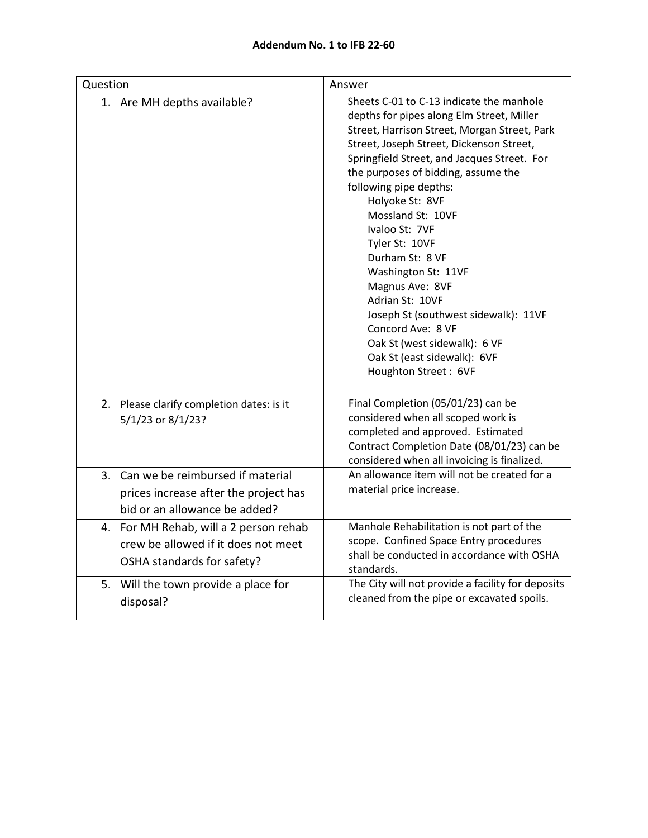| Question                                                                                                       | Answer                                                                                                                                                                                                                                                                                                                                                                                                                                                                                                                                                                                                            |
|----------------------------------------------------------------------------------------------------------------|-------------------------------------------------------------------------------------------------------------------------------------------------------------------------------------------------------------------------------------------------------------------------------------------------------------------------------------------------------------------------------------------------------------------------------------------------------------------------------------------------------------------------------------------------------------------------------------------------------------------|
| 1. Are MH depths available?                                                                                    | Sheets C-01 to C-13 indicate the manhole<br>depths for pipes along Elm Street, Miller<br>Street, Harrison Street, Morgan Street, Park<br>Street, Joseph Street, Dickenson Street,<br>Springfield Street, and Jacques Street. For<br>the purposes of bidding, assume the<br>following pipe depths:<br>Holyoke St: 8VF<br>Mossland St: 10VF<br>Ivaloo St: 7VF<br>Tyler St: 10VF<br>Durham St: 8 VF<br>Washington St: 11VF<br>Magnus Ave: 8VF<br>Adrian St: 10VF<br>Joseph St (southwest sidewalk): 11VF<br>Concord Ave: 8 VF<br>Oak St (west sidewalk): 6 VF<br>Oak St (east sidewalk): 6VF<br>Houghton Street: 6VF |
| 2. Please clarify completion dates: is it<br>5/1/23 or 8/1/23?                                                 | Final Completion (05/01/23) can be<br>considered when all scoped work is<br>completed and approved. Estimated<br>Contract Completion Date (08/01/23) can be<br>considered when all invoicing is finalized.                                                                                                                                                                                                                                                                                                                                                                                                        |
| 3. Can we be reimbursed if material                                                                            | An allowance item will not be created for a                                                                                                                                                                                                                                                                                                                                                                                                                                                                                                                                                                       |
| prices increase after the project has                                                                          | material price increase.                                                                                                                                                                                                                                                                                                                                                                                                                                                                                                                                                                                          |
| bid or an allowance be added?                                                                                  |                                                                                                                                                                                                                                                                                                                                                                                                                                                                                                                                                                                                                   |
| For MH Rehab, will a 2 person rehab<br>4.<br>crew be allowed if it does not meet<br>OSHA standards for safety? | Manhole Rehabilitation is not part of the<br>scope. Confined Space Entry procedures<br>shall be conducted in accordance with OSHA<br>standards.                                                                                                                                                                                                                                                                                                                                                                                                                                                                   |
| 5. Will the town provide a place for<br>disposal?                                                              | The City will not provide a facility for deposits<br>cleaned from the pipe or excavated spoils.                                                                                                                                                                                                                                                                                                                                                                                                                                                                                                                   |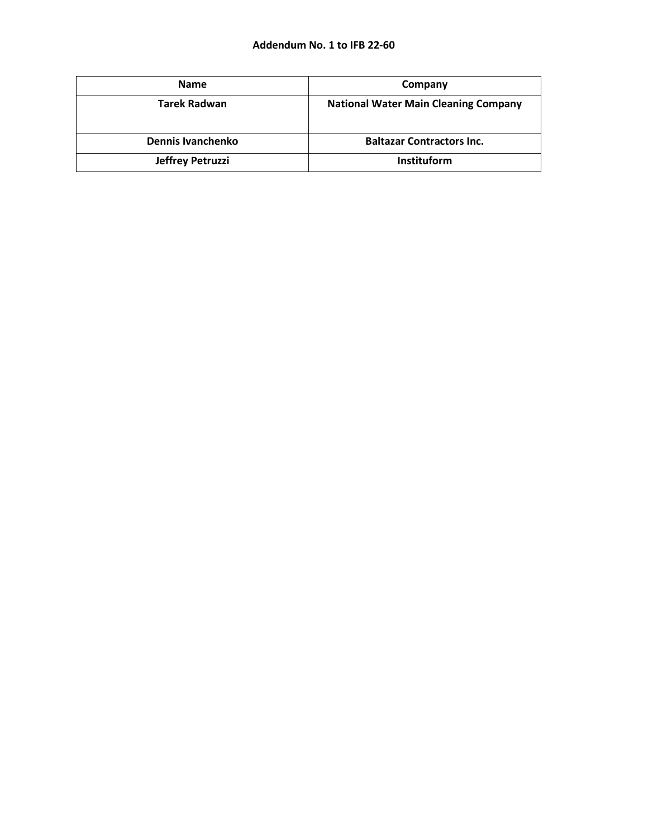| <b>Name</b>         | Company                                     |
|---------------------|---------------------------------------------|
| <b>Tarek Radwan</b> | <b>National Water Main Cleaning Company</b> |
| Dennis Ivanchenko   | <b>Baltazar Contractors Inc.</b>            |
| Jeffrey Petruzzi    | Instituform                                 |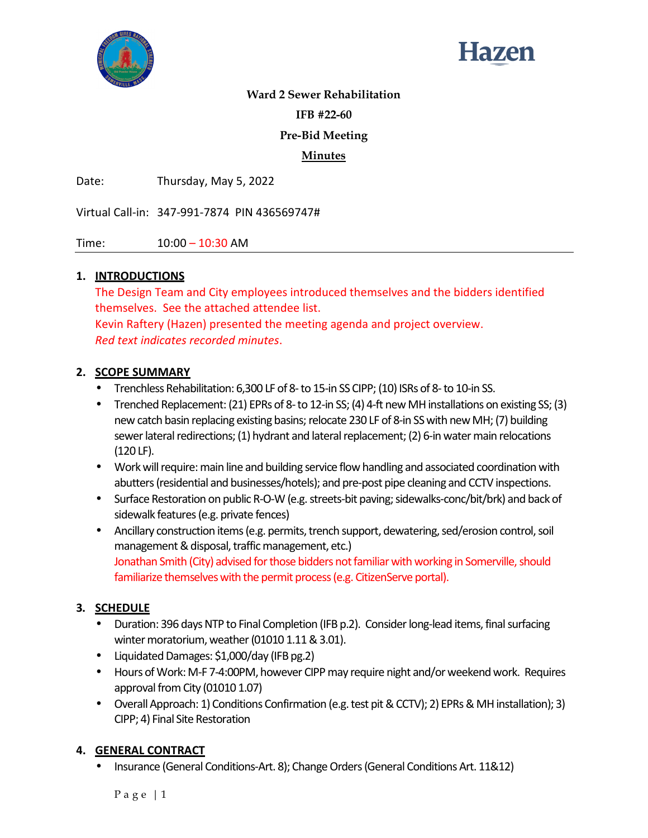



#### **Ward 2 Sewer Rehabilitation**

**IFB #22-60** 

## **Pre-Bid Meeting**

#### **Minutes**

Date: Thursday, May 5, 2022

Virtual Call-in: 347-991-7874 PIN 436569747#

Time: 10:00 – 10:30 AM

#### **1. INTRODUCTIONS**

The Design Team and City employees introduced themselves and the bidders identified themselves. See the attached attendee list. Kevin Raftery (Hazen) presented the meeting agenda and project overview.

*Red text indicates recorded minutes*.

#### **2. SCOPE SUMMARY**

- Trenchless Rehabilitation: 6,300 LF of 8- to 15-in SS CIPP; (10) ISRs of 8- to 10-in SS.
- Trenched Replacement: (21) EPRs of 8- to 12-in SS; (4) 4-ft new MH installations on existing SS; (3) new catch basin replacing existing basins; relocate 230 LF of 8-in SS with new MH; (7) building sewer lateral redirections; (1) hydrant and lateral replacement; (2) 6-in water main relocations (120 LF).
- Work will require: main line and building service flow handling and associated coordination with abutters (residential and businesses/hotels); and pre-post pipe cleaning and CCTV inspections.
- Surface Restoration on public R-O-W (e.g. streets-bit paving; sidewalks-conc/bit/brk) and back of sidewalk features (e.g. private fences)
- Ancillary construction items (e.g. permits, trench support, dewatering, sed/erosion control, soil management & disposal, traffic management, etc.) Jonathan Smith (City) advised for those bidders not familiar with working in Somerville, should familiarize themselves with the permit process (e.g. CitizenServe portal).

## **3. SCHEDULE**

- Duration: 396 days NTP to Final Completion (IFB p.2). Consider long-lead items, final surfacing winter moratorium, weather (01010 1.11 & 3.01).
- Liquidated Damages: \$1,000/day (IFB pg.2)
- Hours of Work: M-F 7-4:00PM, however CIPP may require night and/or weekend work. Requires approval from City (01010 1.07)
- Overall Approach: 1) Conditions Confirmation (e.g. test pit & CCTV); 2) EPRs & MH installation); 3) CIPP; 4) Final Site Restoration

## **4. GENERAL CONTRACT**

• Insurance (General Conditions-Art. 8); Change Orders (General Conditions Art. 11&12)